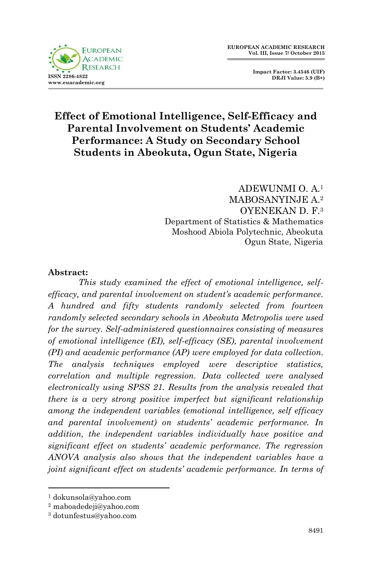

 **Impact Factor: 3.4546 (UIF) DRJI Value: 5.9 (B+)**

# **Effect of Emotional Intelligence, Self-Efficacy and Parental Involvement on Students' Academic Performance: A Study on Secondary School Students in Abeokuta, Ogun State, Nigeria**

ADEWUNMI O. A.<sup>1</sup> MABOSANYINJE A<sup>2</sup> OYENEKAN D. F.<sup>3</sup> Department of Statistics & Mathematics Moshood Abiola Polytechnic, Abeokuta Ogun State, Nigeria

#### **Abstract:**

*This study examined the effect of emotional intelligence, selfefficacy, and parental involvement on student's academic performance. A hundred and fifty students randomly selected from fourteen randomly selected secondary schools in Abeokuta Metropolis were used for the survey. Self-administered questionnaires consisting of measures of emotional intelligence (EI), self-efficacy (SE), parental involvement (PI) and academic performance (AP) were employed for data collection. The analysis techniques employed were descriptive statistics, correlation and multiple regression. Data collected were analysed electronically using SPSS 21. Results from the analysis revealed that there is a very strong positive imperfect but significant relationship among the independent variables (emotional intelligence, self efficacy and parental involvement) on students' academic performance. In addition, the independent variables individually have positive and significant effect on students' academic performance. The regression ANOVA analysis also shows that the independent variables have a joint significant effect on students' academic performance. In terms of* 

**.** 

<sup>1</sup> dokunsola@yahoo.com

<sup>2</sup> maboadedeji@yahoo.com

<sup>3</sup> dotunfestus@yahoo.com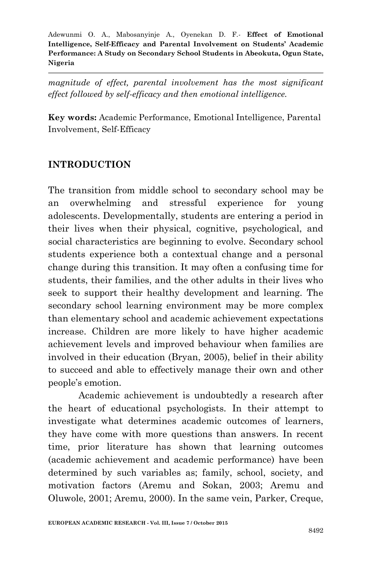*magnitude of effect, parental involvement has the most significant effect followed by self-efficacy and then emotional intelligence.*

**Key words:** Academic Performance, Emotional Intelligence, Parental Involvement, Self-Efficacy

## **INTRODUCTION**

The transition from middle school to secondary school may be an overwhelming and stressful experience for young adolescents. Developmentally, students are entering a period in their lives when their physical, cognitive, psychological, and social characteristics are beginning to evolve. Secondary school students experience both a contextual change and a personal change during this transition. It may often a confusing time for students, their families, and the other adults in their lives who seek to support their healthy development and learning. The secondary school learning environment may be more complex than elementary school and academic achievement expectations increase. Children are more likely to have higher academic achievement levels and improved behaviour when families are involved in their education (Bryan, 2005), belief in their ability to succeed and able to effectively manage their own and other people's emotion.

Academic achievement is undoubtedly a research after the heart of educational psychologists. In their attempt to investigate what determines academic outcomes of learners, they have come with more questions than answers. In recent time, prior literature has shown that learning outcomes (academic achievement and academic performance) have been determined by such variables as; family, school, society, and motivation factors (Aremu and Sokan, 2003; Aremu and Oluwole, 2001; Aremu, 2000). In the same vein, Parker, Creque,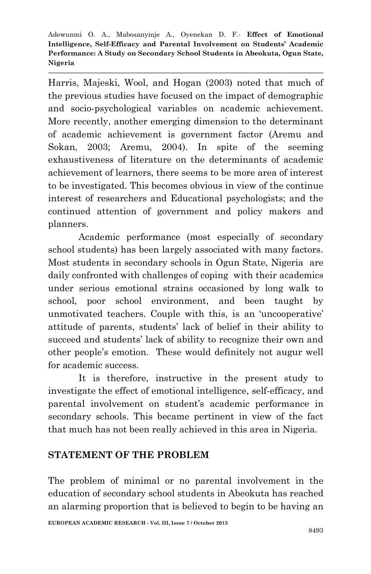Harris, Majeski, Wool, and Hogan (2003) noted that much of the previous studies have focused on the impact of demographic and socio-psychological variables on academic achievement. More recently, another emerging dimension to the determinant of academic achievement is government factor (Aremu and Sokan, 2003; Aremu, 2004). In spite of the seeming exhaustiveness of literature on the determinants of academic achievement of learners, there seems to be more area of interest to be investigated. This becomes obvious in view of the continue interest of researchers and Educational psychologists; and the continued attention of government and policy makers and planners.

Academic performance (most especially of secondary school students) has been largely associated with many factors. Most students in secondary schools in Ogun State, Nigeria are daily confronted with challenges of coping with their academics under serious emotional strains occasioned by long walk to school, poor school environment, and been taught by unmotivated teachers. Couple with this, is an 'uncooperative' attitude of parents, students' lack of belief in their ability to succeed and students' lack of ability to recognize their own and other people's emotion. These would definitely not augur well for academic success.

It is therefore, instructive in the present study to investigate the effect of emotional intelligence, self-efficacy, and parental involvement on student's academic performance in secondary schools. This became pertinent in view of the fact that much has not been really achieved in this area in Nigeria.

### **STATEMENT OF THE PROBLEM**

The problem of minimal or no parental involvement in the education of secondary school students in Abeokuta has reached an alarming proportion that is believed to begin to be having an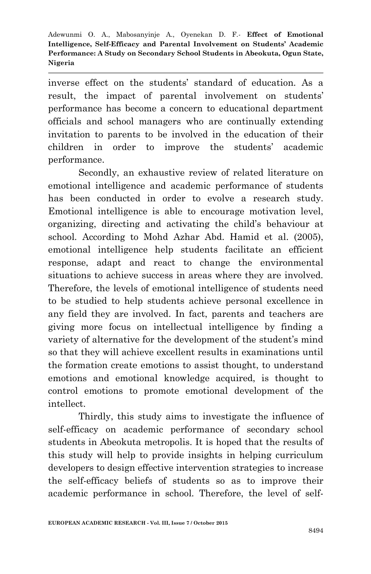inverse effect on the students' standard of education. As a result, the impact of parental involvement on students' performance has become a concern to educational department officials and school managers who are continually extending invitation to parents to be involved in the education of their children in order to improve the students' academic performance.

Secondly, an exhaustive review of related literature on emotional intelligence and academic performance of students has been conducted in order to evolve a research study. Emotional intelligence is able to encourage motivation level, organizing, directing and activating the child's behaviour at school. According to Mohd Azhar Abd. Hamid et al. (2005), emotional intelligence help students facilitate an efficient response, adapt and react to change the environmental situations to achieve success in areas where they are involved. Therefore, the levels of emotional intelligence of students need to be studied to help students achieve personal excellence in any field they are involved. In fact, parents and teachers are giving more focus on intellectual intelligence by finding a variety of alternative for the development of the student's mind so that they will achieve excellent results in examinations until the formation create emotions to assist thought, to understand emotions and emotional knowledge acquired, is thought to control emotions to promote emotional development of the intellect.

Thirdly, this study aims to investigate the influence of self-efficacy on academic performance of secondary school students in Abeokuta metropolis. It is hoped that the results of this study will help to provide insights in helping curriculum developers to design effective intervention strategies to increase the self-efficacy beliefs of students so as to improve their academic performance in school. Therefore, the level of self-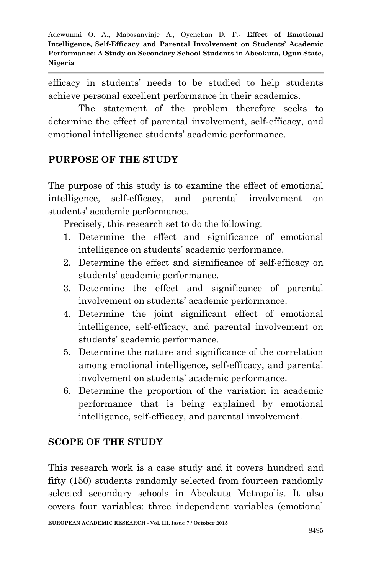efficacy in students' needs to be studied to help students achieve personal excellent performance in their academics.

The statement of the problem therefore seeks to determine the effect of parental involvement, self-efficacy, and emotional intelligence students' academic performance.

# **PURPOSE OF THE STUDY**

The purpose of this study is to examine the effect of emotional intelligence, self-efficacy, and parental involvement on students' academic performance.

Precisely, this research set to do the following:

- 1. Determine the effect and significance of emotional intelligence on students' academic performance.
- 2. Determine the effect and significance of self-efficacy on students' academic performance.
- 3. Determine the effect and significance of parental involvement on students' academic performance.
- 4. Determine the joint significant effect of emotional intelligence, self-efficacy, and parental involvement on students' academic performance.
- 5. Determine the nature and significance of the correlation among emotional intelligence, self-efficacy, and parental involvement on students' academic performance.
- 6. Determine the proportion of the variation in academic performance that is being explained by emotional intelligence, self-efficacy, and parental involvement.

# **SCOPE OF THE STUDY**

This research work is a case study and it covers hundred and fifty (150) students randomly selected from fourteen randomly selected secondary schools in Abeokuta Metropolis. It also covers four variables: three independent variables (emotional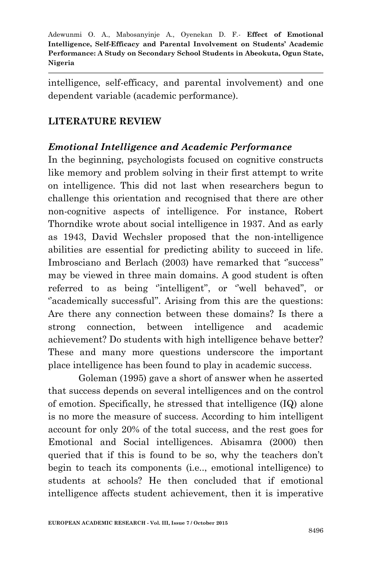intelligence, self-efficacy, and parental involvement) and one dependent variable (academic performance).

# **LITERATURE REVIEW**

### *Emotional Intelligence and Academic Performance*

In the beginning, psychologists focused on cognitive constructs like memory and problem solving in their first attempt to write on intelligence. This did not last when researchers begun to challenge this orientation and recognised that there are other non-cognitive aspects of intelligence. For instance, Robert Thorndike wrote about social intelligence in 1937. And as early as 1943, David Wechsler proposed that the non-intelligence abilities are essential for predicting ability to succeed in life. Imbrosciano and Berlach (2003) have remarked that ''success'' may be viewed in three main domains. A good student is often referred to as being ''intelligent'', or ''well behaved'', or "academically successful". Arising from this are the questions: Are there any connection between these domains? Is there a strong connection, between intelligence and academic achievement? Do students with high intelligence behave better? These and many more questions underscore the important place intelligence has been found to play in academic success.

Goleman (1995) gave a short of answer when he asserted that success depends on several intelligences and on the control of emotion. Specifically, he stressed that intelligence (IQ) alone is no more the measure of success. According to him intelligent account for only 20% of the total success, and the rest goes for Emotional and Social intelligences. Abisamra (2000) then queried that if this is found to be so, why the teachers don't begin to teach its components (i.e.., emotional intelligence) to students at schools? He then concluded that if emotional intelligence affects student achievement, then it is imperative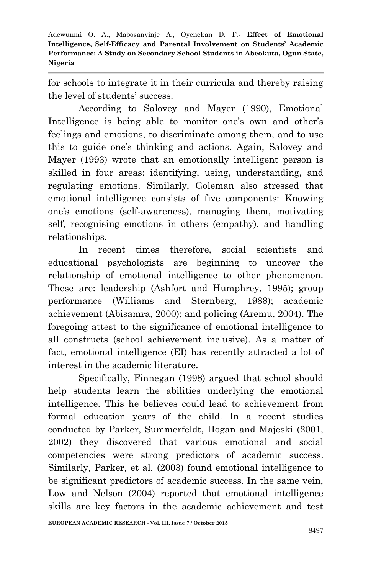for schools to integrate it in their curricula and thereby raising the level of students' success.

According to Salovey and Mayer (1990), Emotional Intelligence is being able to monitor one's own and other's feelings and emotions, to discriminate among them, and to use this to guide one's thinking and actions. Again, Salovey and Mayer (1993) wrote that an emotionally intelligent person is skilled in four areas: identifying, using, understanding, and regulating emotions. Similarly, Goleman also stressed that emotional intelligence consists of five components: Knowing one's emotions (self-awareness), managing them, motivating self, recognising emotions in others (empathy), and handling relationships.

In recent times therefore, social scientists and educational psychologists are beginning to uncover the relationship of emotional intelligence to other phenomenon. These are: leadership (Ashfort and Humphrey, 1995); group performance (Williams and Sternberg, 1988); academic achievement (Abisamra, 2000); and policing (Aremu, 2004). The foregoing attest to the significance of emotional intelligence to all constructs (school achievement inclusive). As a matter of fact, emotional intelligence (EI) has recently attracted a lot of interest in the academic literature.

Specifically, Finnegan (1998) argued that school should help students learn the abilities underlying the emotional intelligence. This he believes could lead to achievement from formal education years of the child. In a recent studies conducted by Parker, Summerfeldt, Hogan and Majeski (2001, 2002) they discovered that various emotional and social competencies were strong predictors of academic success. Similarly, Parker, et al. (2003) found emotional intelligence to be significant predictors of academic success. In the same vein, Low and Nelson (2004) reported that emotional intelligence skills are key factors in the academic achievement and test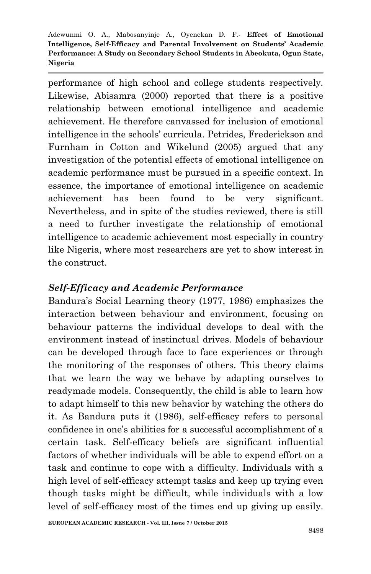performance of high school and college students respectively. Likewise, Abisamra (2000) reported that there is a positive relationship between emotional intelligence and academic achievement. He therefore canvassed for inclusion of emotional intelligence in the schools' curricula. Petrides, Frederickson and Furnham in Cotton and Wikelund (2005) argued that any investigation of the potential effects of emotional intelligence on academic performance must be pursued in a specific context. In essence, the importance of emotional intelligence on academic achievement has been found to be very significant. Nevertheless, and in spite of the studies reviewed, there is still a need to further investigate the relationship of emotional intelligence to academic achievement most especially in country like Nigeria, where most researchers are yet to show interest in the construct.

### *Self-Efficacy and Academic Performance*

Bandura's Social Learning theory (1977, 1986) emphasizes the interaction between behaviour and environment, focusing on behaviour patterns the individual develops to deal with the environment instead of instinctual drives. Models of behaviour can be developed through face to face experiences or through the monitoring of the responses of others. This theory claims that we learn the way we behave by adapting ourselves to readymade models. Consequently, the child is able to learn how to adapt himself to this new behavior by watching the others do it. As Bandura puts it (1986), self-efficacy refers to personal confidence in one's abilities for a successful accomplishment of a certain task. Self-efficacy beliefs are significant influential factors of whether individuals will be able to expend effort on a task and continue to cope with a difficulty. Individuals with a high level of self-efficacy attempt tasks and keep up trying even though tasks might be difficult, while individuals with a low level of self-efficacy most of the times end up giving up easily.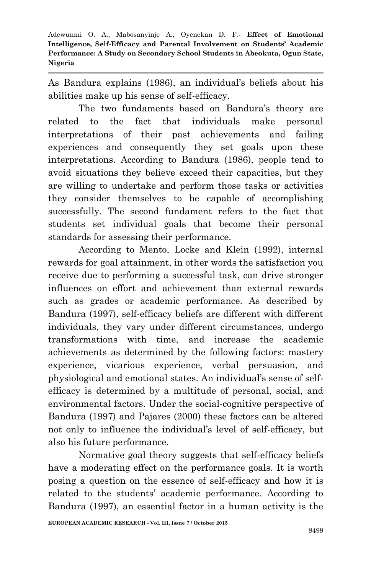As Bandura explains (1986), an individual's beliefs about his abilities make up his sense of self-efficacy.

The two fundaments based on Bandura's theory are related to the fact that individuals make personal interpretations of their past achievements and failing experiences and consequently they set goals upon these interpretations. According to Bandura (1986), people tend to avoid situations they believe exceed their capacities, but they are willing to undertake and perform those tasks or activities they consider themselves to be capable of accomplishing successfully. The second fundament refers to the fact that students set individual goals that become their personal standards for assessing their performance.

According to Mento, Locke and Klein (1992), internal rewards for goal attainment, in other words the satisfaction you receive due to performing a successful task, can drive stronger influences on effort and achievement than external rewards such as grades or academic performance. As described by Bandura (1997), self-efficacy beliefs are different with different individuals, they vary under different circumstances, undergo transformations with time, and increase the academic achievements as determined by the following factors: mastery experience, vicarious experience, verbal persuasion, and physiological and emotional states. An individual's sense of selfefficacy is determined by a multitude of personal, social, and environmental factors. Under the social-cognitive perspective of Bandura (1997) and Pajares (2000) these factors can be altered not only to influence the individual's level of self-efficacy, but also his future performance.

Normative goal theory suggests that self-efficacy beliefs have a moderating effect on the performance goals. It is worth posing a question on the essence of self-efficacy and how it is related to the students' academic performance. According to Bandura (1997), an essential factor in a human activity is the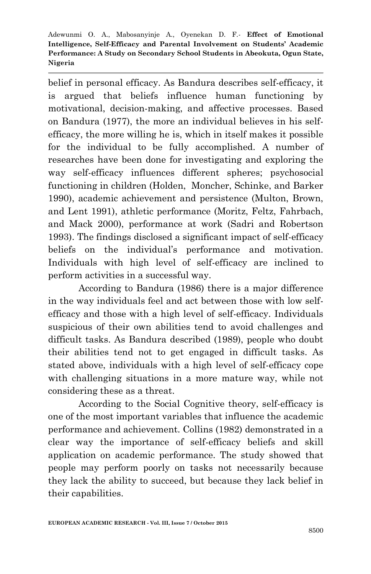belief in personal efficacy. As Bandura describes self-efficacy, it is argued that beliefs influence human functioning by motivational, decision-making, and affective processes. Based on Bandura (1977), the more an individual believes in his selfefficacy, the more willing he is, which in itself makes it possible for the individual to be fully accomplished. A number of researches have been done for investigating and exploring the way self-efficacy influences different spheres; psychosocial functioning in children (Holden, Moncher, Schinke, and Barker 1990), academic achievement and persistence (Multon, Brown, and Lent 1991), athletic performance (Moritz, Feltz, Fahrbach, and Mack 2000), performance at work (Sadri and Robertson 1993). The findings disclosed a significant impact of self-efficacy beliefs on the individual's performance and motivation. Individuals with high level of self-efficacy are inclined to perform activities in a successful way.

According to Bandura (1986) there is a major difference in the way individuals feel and act between those with low selfefficacy and those with a high level of self-efficacy. Individuals suspicious of their own abilities tend to avoid challenges and difficult tasks. As Bandura described (1989), people who doubt their abilities tend not to get engaged in difficult tasks. As stated above, individuals with a high level of self-efficacy cope with challenging situations in a more mature way, while not considering these as a threat.

According to the Social Cognitive theory, self-efficacy is one of the most important variables that influence the academic performance and achievement. Collins (1982) demonstrated in a clear way the importance of self-efficacy beliefs and skill application on academic performance. The study showed that people may perform poorly on tasks not necessarily because they lack the ability to succeed, but because they lack belief in their capabilities.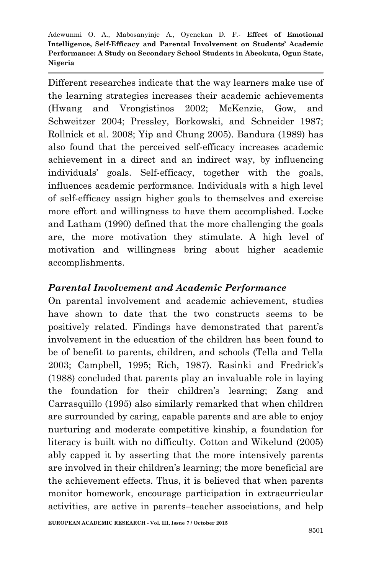Different researches indicate that the way learners make use of the learning strategies increases their academic achievements (Hwang and Vrongistinos 2002; McKenzie, Gow, and Schweitzer 2004; Pressley, Borkowski, and Schneider 1987; Rollnick et al. 2008; Yip and Chung 2005). Bandura (1989) has also found that the perceived self-efficacy increases academic achievement in a direct and an indirect way, by influencing individuals' goals. Self-efficacy, together with the goals, influences academic performance. Individuals with a high level of self-efficacy assign higher goals to themselves and exercise more effort and willingness to have them accomplished. Locke and Latham (1990) defined that the more challenging the goals are, the more motivation they stimulate. A high level of motivation and willingness bring about higher academic accomplishments.

### *Parental Involvement and Academic Performance*

On parental involvement and academic achievement, studies have shown to date that the two constructs seems to be positively related. Findings have demonstrated that parent's involvement in the education of the children has been found to be of benefit to parents, children, and schools (Tella and Tella 2003; Campbell, 1995; Rich, 1987). Rasinki and Fredrick's (1988) concluded that parents play an invaluable role in laying the foundation for their children's learning; Zang and Carrasquillo (1995) also similarly remarked that when children are surrounded by caring, capable parents and are able to enjoy nurturing and moderate competitive kinship, a foundation for literacy is built with no difficulty. Cotton and Wikelund (2005) ably capped it by asserting that the more intensively parents are involved in their children's learning; the more beneficial are the achievement effects. Thus, it is believed that when parents monitor homework, encourage participation in extracurricular activities, are active in parents–teacher associations, and help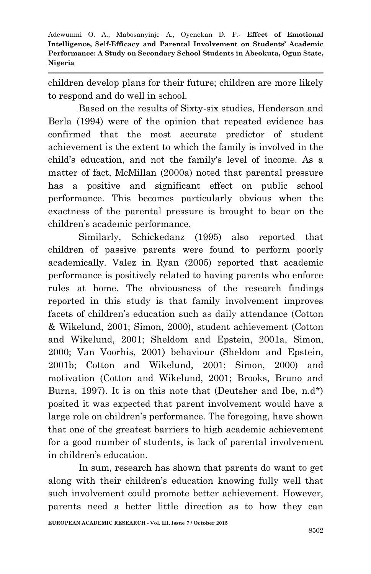children develop plans for their future; children are more likely to respond and do well in school.

Based on the results of Sixty-six studies, Henderson and Berla (1994) were of the opinion that repeated evidence has confirmed that the most accurate predictor of student achievement is the extent to which the family is involved in the child's education, and not the family's level of income. As a matter of fact, McMillan (2000a) noted that parental pressure has a positive and significant effect on public school performance. This becomes particularly obvious when the exactness of the parental pressure is brought to bear on the children's academic performance.

Similarly, Schickedanz (1995) also reported that children of passive parents were found to perform poorly academically. Valez in Ryan (2005) reported that academic performance is positively related to having parents who enforce rules at home. The obviousness of the research findings reported in this study is that family involvement improves facets of children's education such as daily attendance (Cotton & Wikelund, 2001; Simon, 2000), student achievement (Cotton and Wikelund, 2001; Sheldom and Epstein, 2001a, Simon, 2000; Van Voorhis, 2001) behaviour (Sheldom and Epstein, 2001b; Cotton and Wikelund, 2001; Simon, 2000) and motivation (Cotton and Wikelund, 2001; Brooks, Bruno and Burns, 1997). It is on this note that (Deutsher and Ibe, n.d\*) posited it was expected that parent involvement would have a large role on children's performance. The foregoing, have shown that one of the greatest barriers to high academic achievement for a good number of students, is lack of parental involvement in children's education.

In sum, research has shown that parents do want to get along with their children's education knowing fully well that such involvement could promote better achievement. However, parents need a better little direction as to how they can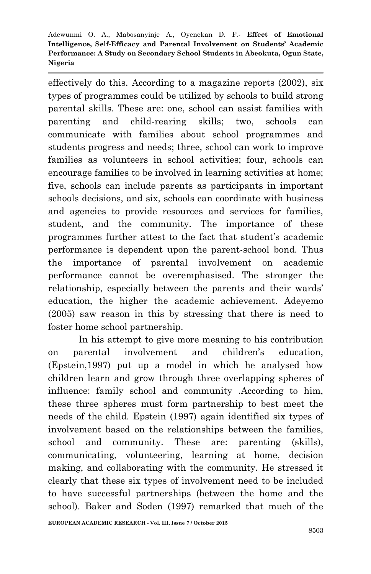effectively do this. According to a magazine reports (2002), six types of programmes could be utilized by schools to build strong parental skills. These are: one, school can assist families with parenting and child-rearing skills; two, schools can communicate with families about school programmes and students progress and needs; three, school can work to improve families as volunteers in school activities; four, schools can encourage families to be involved in learning activities at home; five, schools can include parents as participants in important schools decisions, and six, schools can coordinate with business and agencies to provide resources and services for families, student, and the community. The importance of these programmes further attest to the fact that student's academic performance is dependent upon the parent-school bond. Thus the importance of parental involvement on academic performance cannot be overemphasised. The stronger the relationship, especially between the parents and their wards' education, the higher the academic achievement. Adeyemo (2005) saw reason in this by stressing that there is need to foster home school partnership.

In his attempt to give more meaning to his contribution on parental involvement and children's education, (Epstein,1997) put up a model in which he analysed how children learn and grow through three overlapping spheres of influence: family school and community .According to him, these three spheres must form partnership to best meet the needs of the child. Epstein (1997) again identified six types of involvement based on the relationships between the families, school and community. These are: parenting (skills), communicating, volunteering, learning at home, decision making, and collaborating with the community. He stressed it clearly that these six types of involvement need to be included to have successful partnerships (between the home and the school). Baker and Soden (1997) remarked that much of the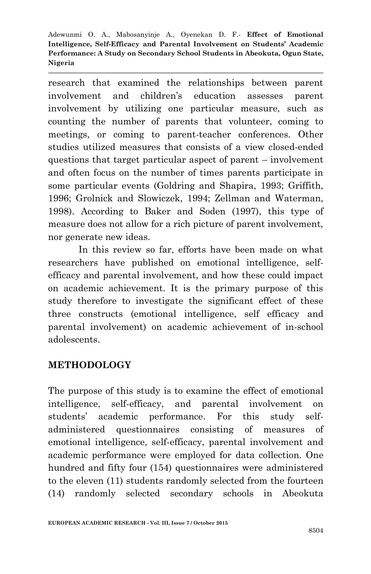research that examined the relationships between parent involvement and children's education assesses parent involvement by utilizing one particular measure, such as counting the number of parents that volunteer, coming to meetings, or coming to parent-teacher conferences. Other studies utilized measures that consists of a view closed-ended questions that target particular aspect of parent – involvement and often focus on the number of times parents participate in some particular events (Goldring and Shapira, 1993; Griffith, 1996; Grolnick and Slowiczek, 1994; Zellman and Waterman, 1998). According to Baker and Soden (1997), this type of measure does not allow for a rich picture of parent involvement, nor generate new ideas.

In this review so far, efforts have been made on what researchers have published on emotional intelligence, selfefficacy and parental involvement, and how these could impact on academic achievement. It is the primary purpose of this study therefore to investigate the significant effect of these three constructs (emotional intelligence, self efficacy and parental involvement) on academic achievement of in-school adolescents.

### **METHODOLOGY**

The purpose of this study is to examine the effect of emotional intelligence, self-efficacy, and parental involvement on students' academic performance. For this study selfadministered questionnaires consisting of measures of emotional intelligence, self-efficacy, parental involvement and academic performance were employed for data collection. One hundred and fifty four (154) questionnaires were administered to the eleven (11) students randomly selected from the fourteen (14) randomly selected secondary schools in Abeokuta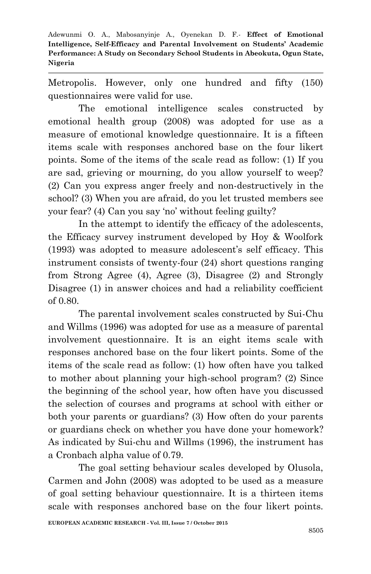Metropolis. However, only one hundred and fifty (150) questionnaires were valid for use.

The emotional intelligence scales constructed by emotional health group (2008) was adopted for use as a measure of emotional knowledge questionnaire. It is a fifteen items scale with responses anchored base on the four likert points. Some of the items of the scale read as follow: (1) If you are sad, grieving or mourning, do you allow yourself to weep? (2) Can you express anger freely and non-destructively in the school? (3) When you are afraid, do you let trusted members see your fear? (4) Can you say 'no' without feeling guilty?

In the attempt to identify the efficacy of the adolescents, the Efficacy survey instrument developed by Hoy & Woolfork (1993) was adopted to measure adolescent's self efficacy. This instrument consists of twenty-four (24) short questions ranging from Strong Agree (4), Agree (3), Disagree (2) and Strongly Disagree (1) in answer choices and had a reliability coefficient of 0.80.

The parental involvement scales constructed by Sui-Chu and Willms (1996) was adopted for use as a measure of parental involvement questionnaire. It is an eight items scale with responses anchored base on the four likert points. Some of the items of the scale read as follow: (1) how often have you talked to mother about planning your high-school program? (2) Since the beginning of the school year, how often have you discussed the selection of courses and programs at school with either or both your parents or guardians? (3) How often do your parents or guardians check on whether you have done your homework? As indicated by Sui-chu and Willms (1996), the instrument has a Cronbach alpha value of 0.79.

The goal setting behaviour scales developed by Olusola, Carmen and John (2008) was adopted to be used as a measure of goal setting behaviour questionnaire. It is a thirteen items scale with responses anchored base on the four likert points.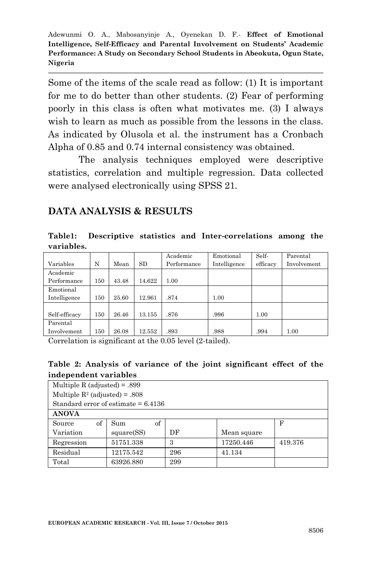Some of the items of the scale read as follow: (1) It is important for me to do better than other students. (2) Fear of performing poorly in this class is often what motivates me. (3) I always wish to learn as much as possible from the lessons in the class. As indicated by Olusola et al. the instrument has a Cronbach Alpha of 0.85 and 0.74 internal consistency was obtained.

The analysis techniques employed were descriptive statistics, correlation and multiple regression. Data collected were analysed electronically using SPSS 21.

### **DATA ANALYSIS & RESULTS**

**Table1: Descriptive statistics and Inter-correlations among the variables.**

|                                                                                                                               |     |       |        | Academic    | Emotional    | Self-    | Parental    |
|-------------------------------------------------------------------------------------------------------------------------------|-----|-------|--------|-------------|--------------|----------|-------------|
| Variables                                                                                                                     | N   | Mean  | SD     | Performance | Intelligence | efficacy | Involvement |
| Academic                                                                                                                      |     |       |        |             |              |          |             |
| Performance                                                                                                                   | 150 | 43.48 | 14.622 | 1.00        |              |          |             |
| Emotional                                                                                                                     |     |       |        |             |              |          |             |
| Intelligence                                                                                                                  | 150 | 25.60 | 12.961 | .874        | 1.00         |          |             |
|                                                                                                                               |     |       |        |             |              |          |             |
| Self-efficacy                                                                                                                 | 150 | 26.46 | 13.155 | .876        | .996         | 1.00     |             |
| Parental                                                                                                                      |     |       |        |             |              |          |             |
| Involvement                                                                                                                   | 150 | 26.08 | 12.552 | .893        | .988         | .994     | 1.00        |
| $\sim$ $\sim$<br>$\sim$ $\sim$ $\sim$<br>$\mathbf{u} = \mathbf{v}$ , and $\mathbf{u} = \mathbf{v}$<br>$\sim$ $\sim$<br>$\sim$ |     |       |        |             |              |          |             |

Correlation is significant at the 0.05 level (2-tailed).

#### **Table 2: Analysis of variance of the joint significant effect of the independent variables**

| Multiple R (adjusted) = $.899$        |            |     |             |         |  |  |  |  |
|---------------------------------------|------------|-----|-------------|---------|--|--|--|--|
| Multiple $R^2$ (adjusted) = .808      |            |     |             |         |  |  |  |  |
| Standard error of estimate $= 6.4136$ |            |     |             |         |  |  |  |  |
| <b>ANOVA</b>                          |            |     |             |         |  |  |  |  |
| of<br>Source                          | of<br>Sum  |     |             | F       |  |  |  |  |
| Variation                             | square(SS) | DF  | Mean square |         |  |  |  |  |
| Regression                            | 51751.338  | 3   | 17250.446   | 419.376 |  |  |  |  |
| Residual                              | 12175.542  | 296 | 41.134      |         |  |  |  |  |
| Total                                 | 63926.880  | 299 |             |         |  |  |  |  |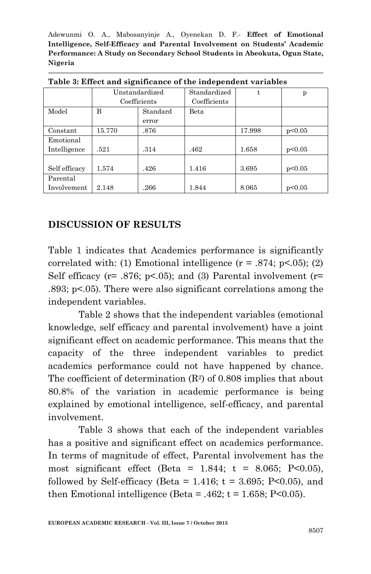|               |              | Unstandardized | Standardized |        | p      |  |
|---------------|--------------|----------------|--------------|--------|--------|--|
|               | Coefficients |                | Coefficients |        |        |  |
| Model         | B            | Standard       | Beta         |        |        |  |
|               |              | error          |              |        |        |  |
| Constant      | 15.770       | .876           |              | 17.998 | p<0.05 |  |
| Emotional     |              |                |              |        |        |  |
| Intelligence  | .521         | .314           | .462         | 1.658  | p<0.05 |  |
|               |              |                |              |        |        |  |
| Self efficacy | 1.574        | .426           | 1.416        | 3.695  | p<0.05 |  |
| Parental      |              |                |              |        |        |  |
| Involvement   | 2.148        | .266           | 1.844        | 8.065  | p<0.05 |  |

**Table 3: Effect and significance of the independent variables**

### **DISCUSSION OF RESULTS**

Table 1 indicates that Academics performance is significantly correlated with: (1) Emotional intelligence  $(r = .874; p < .05)$ ; (2) Self efficacy ( $r = .876$ ;  $p < .05$ ); and (3) Parental involvement ( $r =$ .893; p<.05). There were also significant correlations among the independent variables.

Table 2 shows that the independent variables (emotional knowledge, self efficacy and parental involvement) have a joint significant effect on academic performance. This means that the capacity of the three independent variables to predict academics performance could not have happened by chance. The coefficient of determination  $(R^2)$  of 0.808 implies that about 80.8% of the variation in academic performance is being explained by emotional intelligence, self-efficacy, and parental involvement.

Table 3 shows that each of the independent variables has a positive and significant effect on academics performance. In terms of magnitude of effect, Parental involvement has the most significant effect (Beta =  $1.844$ ; t =  $8.065$ ; P<0.05), followed by Self-efficacy (Beta =  $1.416$ ; t =  $3.695$ ; P<0.05), and then Emotional intelligence (Beta =  $.462$ ; t = 1.658; P<0.05).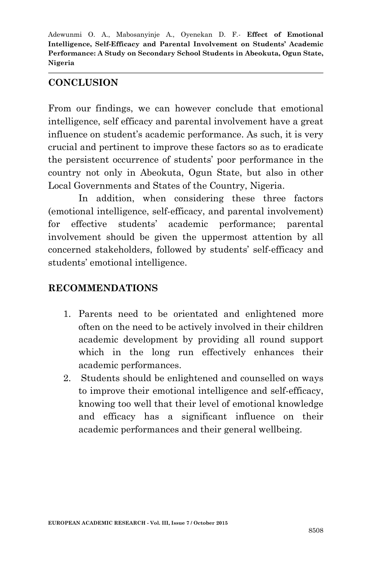### **CONCLUSION**

From our findings, we can however conclude that emotional intelligence, self efficacy and parental involvement have a great influence on student's academic performance. As such, it is very crucial and pertinent to improve these factors so as to eradicate the persistent occurrence of students' poor performance in the country not only in Abeokuta, Ogun State, but also in other Local Governments and States of the Country, Nigeria.

In addition, when considering these three factors (emotional intelligence, self-efficacy, and parental involvement) for effective students' academic performance; parental involvement should be given the uppermost attention by all concerned stakeholders, followed by students' self-efficacy and students' emotional intelligence.

## **RECOMMENDATIONS**

- 1. Parents need to be orientated and enlightened more often on the need to be actively involved in their children academic development by providing all round support which in the long run effectively enhances their academic performances.
- 2. Students should be enlightened and counselled on ways to improve their emotional intelligence and self-efficacy, knowing too well that their level of emotional knowledge and efficacy has a significant influence on their academic performances and their general wellbeing.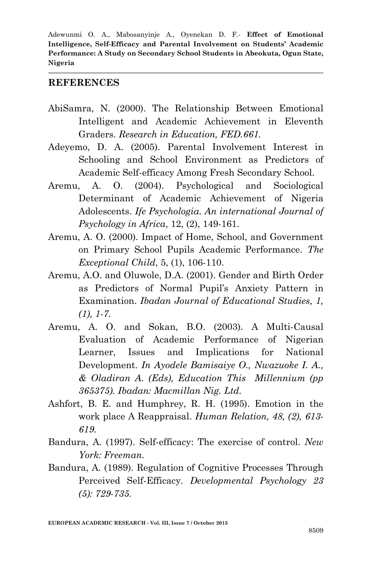#### **REFERENCES**

- AbiSamra, N. (2000). The Relationship Between Emotional Intelligent and Academic Achievement in Eleventh Graders. *Research in Education, FED.661.*
- Adeyemo, D. A. (2005). Parental Involvement Interest in Schooling and School Environment as Predictors of Academic Self-efficacy Among Fresh Secondary School.
- Aremu, A. O. (2004). Psychological and Sociological Determinant of Academic Achievement of Nigeria Adolescents. *Ife Psychologia. An international Journal of Psychology in Africa*, 12, (2), 149-161.
- Aremu, A. O. (2000). Impact of Home, School, and Government on Primary School Pupils Academic Performance. *The Exceptional Child*, 5, (1), 106-110.
- Aremu, A.O. and Oluwole, D.A. (2001). Gender and Birth Order as Predictors of Normal Pupil's Anxiety Pattern in Examination. *Ibadan Journal of Educational Studies, 1, (1), 1-7.*
- Aremu, A. O. and Sokan, B.O. (2003). A Multi-Causal Evaluation of Academic Performance of Nigerian Learner, Issues and Implications for National Development. *In Ayodele Bamisaiye O., Nwazuoke I. A., & Oladiran A. (Eds), Education This Millennium (pp 365375). Ibadan: Macmillan Nig. Ltd.*
- Ashfort, B. E. and Humphrey, R. H. (1995). Emotion in the work place A Reappraisal. *Human Relation, 48, (2), 613- 619.*
- Bandura, A. (1997). Self-efficacy: The exercise of control. *New York: Freeman*.
- Bandura, A. (1989). Regulation of Cognitive Processes Through Perceived Self-Efficacy. *Developmental Psychology 23 (5): 729-735.*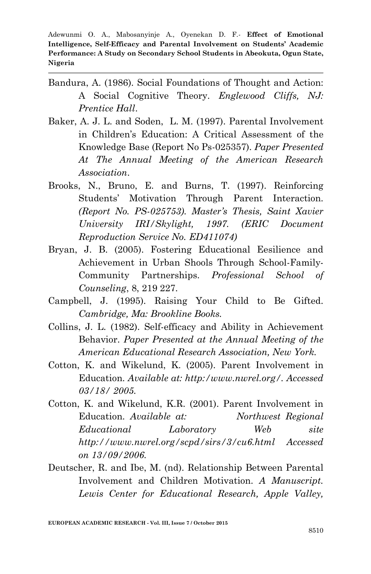- Bandura, A. (1986). Social Foundations of Thought and Action: A Social Cognitive Theory. *Englewood Cliffs, NJ: Prentice Hall*.
- Baker, A. J. L. and Soden, L. M. (1997). Parental Involvement in Children's Education: A Critical Assessment of the Knowledge Base (Report No Ps-025357). *Paper Presented At The Annual Meeting of the American Research Association*.
- Brooks, N., Bruno, E. and Burns, T. (1997). Reinforcing Students' Motivation Through Parent Interaction. *(Report No. PS-025753). Master's Thesis, Saint Xavier University IRI/Skylight, 1997. (ERIC Document Reproduction Service No. ED411074)*
- Bryan, J. B. (2005). Fostering Educational Eesilience and Achievement in Urban Shools Through School-Family-Community Partnerships. *Professional School of Counseling*, 8, 219 227.
- Campbell, J. (1995). Raising Your Child to Be Gifted. *Cambridge, Ma: Brookline Books.*
- Collins, J. L. (1982). Self-efficacy and Ability in Achievement Behavior. *Paper Presented at the Annual Meeting of the American Educational Research Association, New York.*
- Cotton, K. and Wikelund, K. (2005). Parent Involvement in Education. *Available at: http:/www.nwrel.org/. Accessed 03/18/ 2005.*
- Cotton, K. and Wikelund, K.R. (2001). Parent Involvement in Education. *Available at: Northwest Regional Educational Laboratory Web site http://www.nwrel.org/scpd/sirs/3/cu6.html Accessed on 13/09/2006.*
- Deutscher, R. and Ibe, M. (nd). Relationship Between Parental Involvement and Children Motivation. *A Manuscript. Lewis Center for Educational Research, Apple Valley,*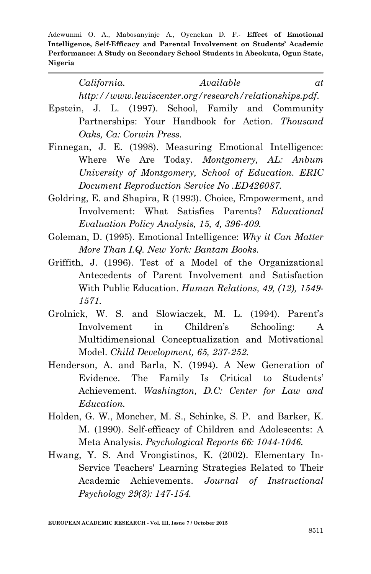> *California. Available at http://www.lewiscenter.org/research/relationships.pdf.*

- Epstein, J. L. (1997). School, Family and Community Partnerships: Your Handbook for Action. *Thousand Oaks, Ca: Corwin Press.*
- Finnegan, J. E. (1998). Measuring Emotional Intelligence: Where We Are Today. *Montgomery, AL: Anbum University of Montgomery, School of Education. ERIC Document Reproduction Service No .ED426087.*
- Goldring, E. and Shapira, R (1993). Choice, Empowerment, and Involvement: What Satisfies Parents? *Educational Evaluation Policy Analysis, 15, 4, 396-409.*
- Goleman, D. (1995). Emotional Intelligence: *Why it Can Matter More Than I.Q. New York: Bantam Books.*
- Griffith, J. (1996). Test of a Model of the Organizational Antecedents of Parent Involvement and Satisfaction With Public Education. *Human Relations, 49, (12), 1549- 1571.*
- Grolnick, W. S. and Slowiaczek, M. L. (1994). Parent's Involvement in Children's Schooling: A Multidimensional Conceptualization and Motivational Model. *Child Development, 65, 237-252.*
- Henderson, A. and Barla, N. (1994). A New Generation of Evidence. The Family Is Critical to Students' Achievement. *Washington, D.C: Center for Law and Education.*
- Holden, G. W., Moncher, M. S., Schinke, S. P. and Barker, K. M. (1990). Self-efficacy of Children and Adolescents: A Meta Analysis. *Psychological Reports 66: 1044-1046.*
- Hwang, Y. S. And Vrongistinos, K. (2002). Elementary In-Service Teachers' Learning Strategies Related to Their Academic Achievements. *Journal of Instructional Psychology 29(3): 147-154.*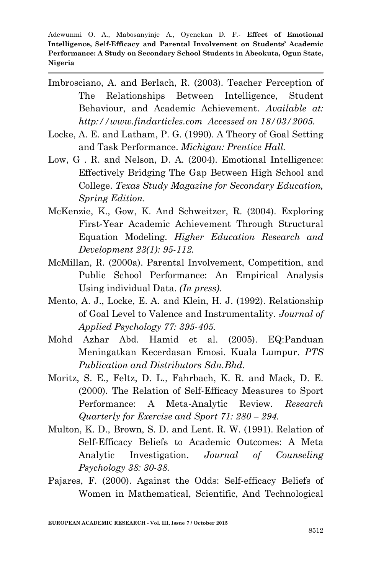- Imbrosciano, A. and Berlach, R. (2003). Teacher Perception of The Relationships Between Intelligence, Student Behaviour, and Academic Achievement. *Available at: http://www.findarticles.com Accessed on 18/03/2005.*
- Locke, A. E. and Latham, P. G. (1990). A Theory of Goal Setting and Task Performance. *Michigan: Prentice Hall.*
- Low, G . R. and Nelson, D. A. (2004). Emotional Intelligence: Effectively Bridging The Gap Between High School and College. *Texas Study Magazine for Secondary Education, Spring Edition.*
- McKenzie, K., Gow, K. And Schweitzer, R. (2004). Exploring First-Year Academic Achievement Through Structural Equation Modeling. *Higher Education Research and Development 23(1): 95-112.*
- McMillan, R. (2000a). Parental Involvement, Competition, and Public School Performance: An Empirical Analysis Using individual Data. *(In press)*.
- Mento, A. J., Locke, E. A. and Klein, H. J. (1992). Relationship of Goal Level to Valence and Instrumentality. *Journal of Applied Psychology 77: 395-405.*
- Mohd Azhar Abd. Hamid et al. (2005). EQ:Panduan Meningatkan Kecerdasan Emosi. Kuala Lumpur. *PTS Publication and Distributors Sdn.Bhd*.
- Moritz, S. E., Feltz, D. L., Fahrbach, K. R. and Mack, D. E. (2000). The Relation of Self-Efficacy Measures to Sport Performance: A Meta-Analytic Review*. Research Quarterly for Exercise and Sport 71: 280 – 294.*
- Multon, K. D., Brown, S. D. and Lent. R. W. (1991). Relation of Self-Efficacy Beliefs to Academic Outcomes: A Meta Analytic Investigation. *Journal of Counseling Psychology 38: 30-38.*
- Pajares, F. (2000). Against the Odds: Self-efficacy Beliefs of Women in Mathematical, Scientific, And Technological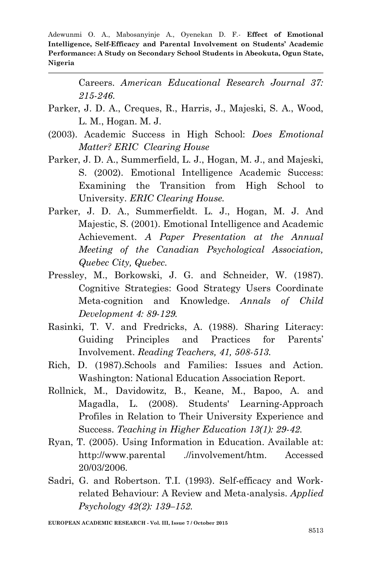> Careers. *American Educational Research Journal 37: 215-246.*

- Parker, J. D. A., Creques, R., Harris, J., Majeski, S. A., Wood, L. M., Hogan. M. J.
- (2003). Academic Success in High School: *Does Emotional Matter? ERIC Clearing House*
- Parker, J. D. A., Summerfield, L. J., Hogan, M. J., and Majeski, S. (2002). Emotional Intelligence Academic Success: Examining the Transition from High School to University. *ERIC Clearing House.*
- Parker, J. D. A., Summerfieldt. L. J., Hogan, M. J. And Majestic, S. (2001). Emotional Intelligence and Academic Achievement. *A Paper Presentation at the Annual Meeting of the Canadian Psychological Association, Quebec City, Quebec.*
- Pressley, M., Borkowski, J. G. and Schneider, W. (1987). Cognitive Strategies: Good Strategy Users Coordinate Meta-cognition and Knowledge. *Annals of Child Development 4: 89-129.*
- Rasinki, T. V. and Fredricks, A. (1988). Sharing Literacy: Guiding Principles and Practices for Parents' Involvement. *Reading Teachers, 41, 508-513.*
- Rich, D. (1987).Schools and Families: Issues and Action. Washington: National Education Association Report.
- Rollnick, M., Davidowitz, B., Keane, M., Bapoo, A. and Magadla, L. (2008). Students' Learning-Approach Profiles in Relation to Their University Experience and Success. *Teaching in Higher Education 13(1): 29-42.*
- Ryan, T. (2005). Using Information in Education. Available at: http://www.parental .//involvement/htm. Accessed 20/03/2006.
- Sadri, G. and Robertson. T.I. (1993). Self-efficacy and Workrelated Behaviour: A Review and Meta-analysis. *Applied Psychology 42(2): 139–152.*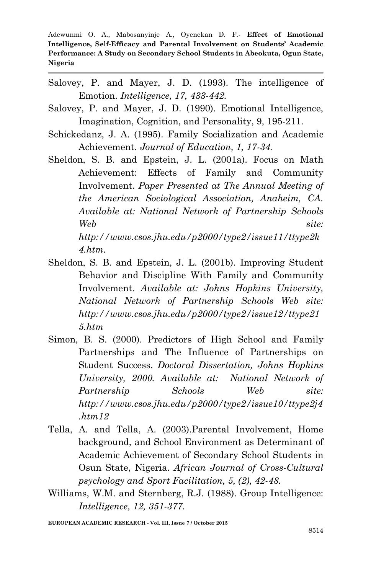- Salovey, P. and Mayer, J. D. (1993). The intelligence of Emotion. *Intelligence, 17, 433-442.*
- Salovey, P. and Mayer, J. D. (1990). Emotional Intelligence, Imagination, Cognition, and Personality, 9, 195-211.
- Schickedanz, J. A. (1995). Family Socialization and Academic Achievement. *Journal of Education, 1, 17-34.*
- Sheldon, S. B. and Epstein, J. L. (2001a). Focus on Math Achievement: Effects of Family and Community Involvement. *Paper Presented at The Annual Meeting of the American Sociological Association, Anaheim, CA. Available at: National Network of Partnership Schools Web site: http://www.csos.jhu.edu/p2000/type2/issue11/ttype2k 4.htm.*
- Sheldon, S. B. and Epstein, J. L. (2001b). Improving Student Behavior and Discipline With Family and Community Involvement. *Available at: Johns Hopkins University, National Network of Partnership Schools Web site: http://www.csos.jhu.edu/p2000/type2/issue12/ttype21 5.htm*
- Simon, B. S. (2000). Predictors of High School and Family Partnerships and The Influence of Partnerships on Student Success. *Doctoral Dissertation, Johns Hopkins University, 2000. Available at: National Network of Partnership Schools Web site: http://www.csos.jhu.edu/p2000/type2/issue10/ttype2j4 .htm12*
- Tella, A. and Tella, A. (2003).Parental Involvement, Home background, and School Environment as Determinant of Academic Achievement of Secondary School Students in Osun State, Nigeria. *African Journal of Cross-Cultural psychology and Sport Facilitation, 5, (2), 42-48.*
- Williams, W.M. and Sternberg, R.J. (1988). Group Intelligence: *Intelligence, 12, 351-377.*